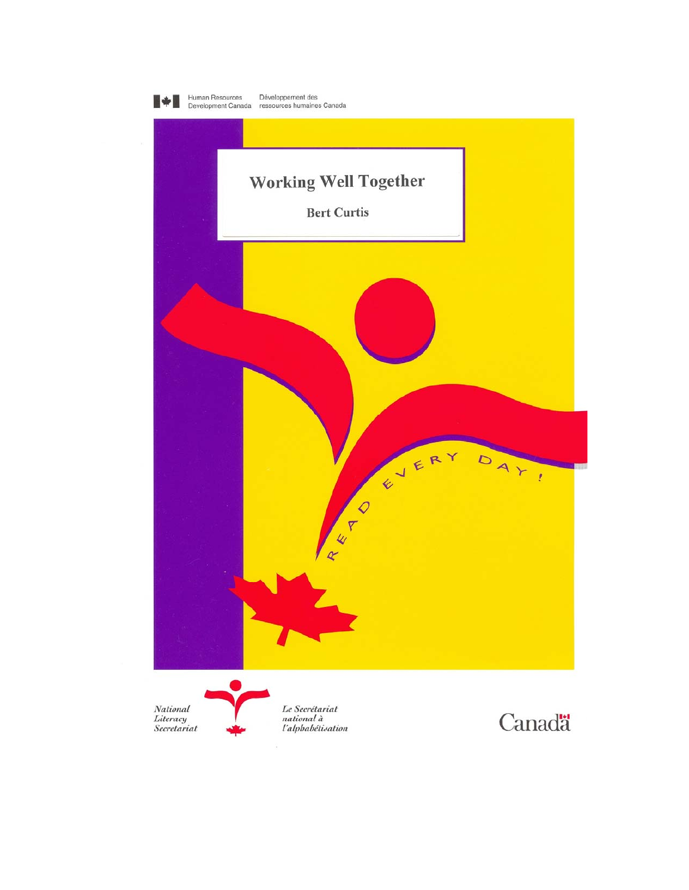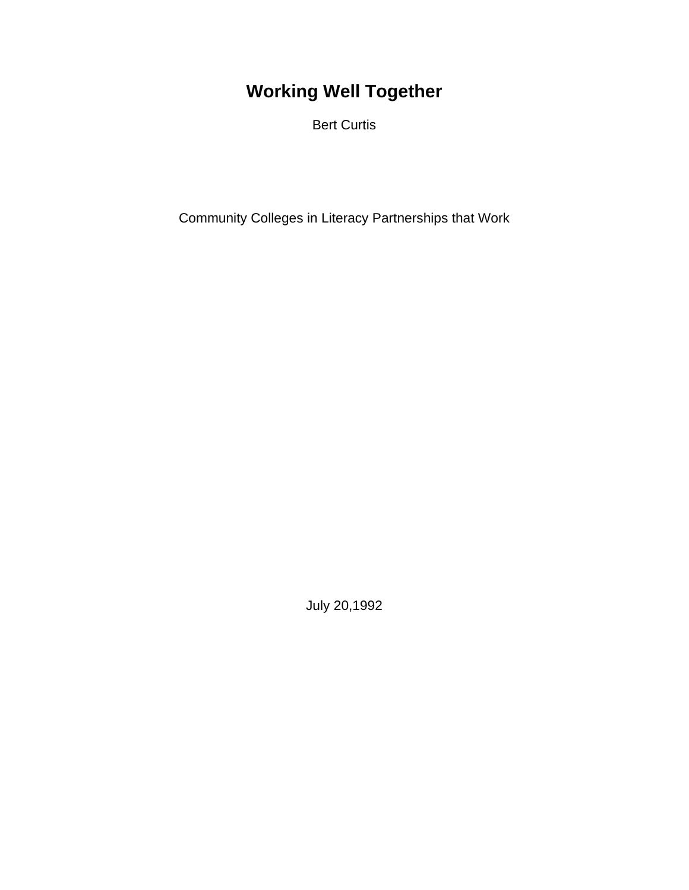# **Working Well Together**

Bert Curtis

Community Colleges in Literacy Partnerships that Work

July 20,1992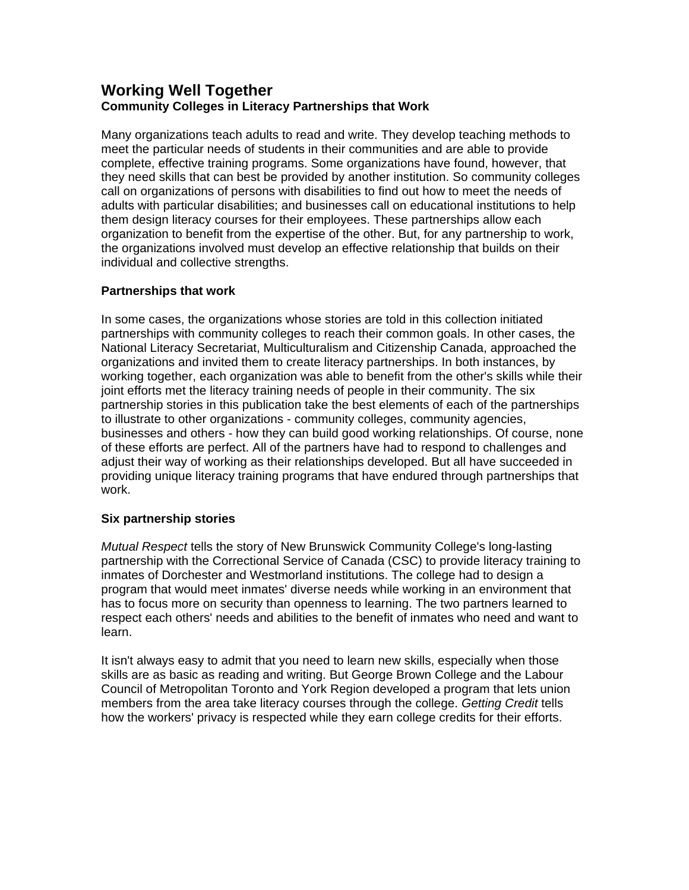# **Working Well Together Community Colleges in Literacy Partnerships that Work**

Many organizations teach adults to read and write. They develop teaching methods to meet the particular needs of students in their communities and are able to provide complete, effective training programs. Some organizations have found, however, that they need skills that can best be provided by another institution. So community colleges call on organizations of persons with disabilities to find out how to meet the needs of adults with particular disabilities; and businesses call on educational institutions to help them design literacy courses for their employees. These partnerships allow each organization to benefit from the expertise of the other. But, for any partnership to work, the organizations involved must develop an effective relationship that builds on their individual and collective strengths.

# **Partnerships that work**

In some cases, the organizations whose stories are told in this collection initiated partnerships with community colleges to reach their common goals. In other cases, the National Literacy Secretariat, Multiculturalism and Citizenship Canada, approached the organizations and invited them to create literacy partnerships. In both instances, by working together, each organization was able to benefit from the other's skills while their joint efforts met the literacy training needs of people in their community. The six partnership stories in this publication take the best elements of each of the partnerships to illustrate to other organizations - community colleges, community agencies, businesses and others - how they can build good working relationships. Of course, none of these efforts are perfect. All of the partners have had to respond to challenges and adjust their way of working as their relationships developed. But all have succeeded in providing unique literacy training programs that have endured through partnerships that work.

# **Six partnership stories**

*Mutual Respect* tells the story of New Brunswick Community College's long-lasting partnership with the Correctional Service of Canada (CSC) to provide literacy training to inmates of Dorchester and Westmorland institutions. The college had to design a program that would meet inmates' diverse needs while working in an environment that has to focus more on security than openness to learning. The two partners learned to respect each others' needs and abilities to the benefit of inmates who need and want to learn.

It isn't always easy to admit that you need to learn new skills, especially when those skills are as basic as reading and writing. But George Brown College and the Labour Council of Metropolitan Toronto and York Region developed a program that lets union members from the area take literacy courses through the college. *Getting Credit* tells how the workers' privacy is respected while they earn college credits for their efforts.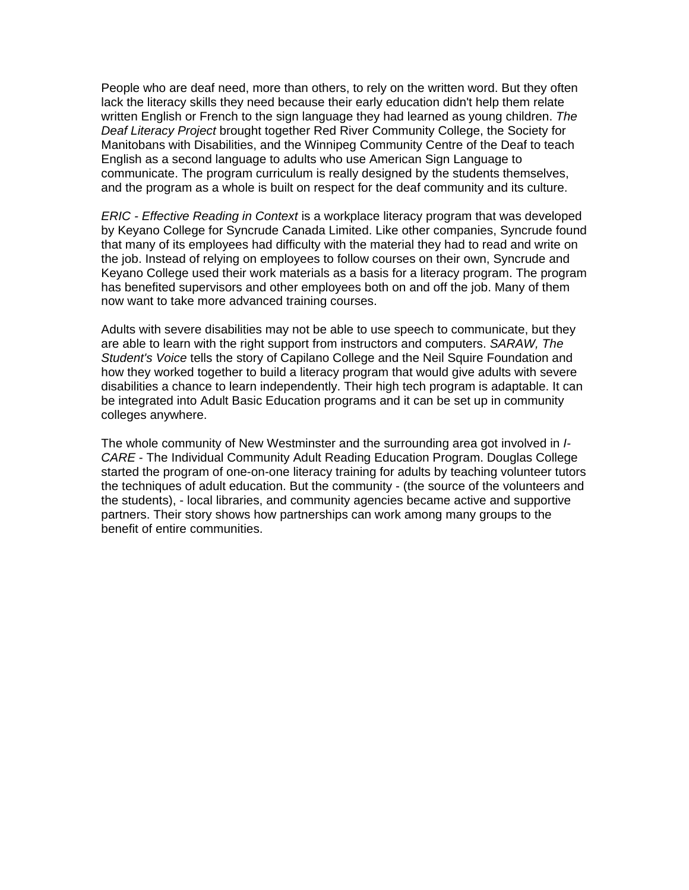People who are deaf need, more than others, to rely on the written word. But they often lack the literacy skills they need because their early education didn't help them relate written English or French to the sign language they had learned as young children. *The Deaf Literacy Project* brought together Red River Community College, the Society for Manitobans with Disabilities, and the Winnipeg Community Centre of the Deaf to teach English as a second language to adults who use American Sign Language to communicate. The program curriculum is really designed by the students themselves, and the program as a whole is built on respect for the deaf community and its culture.

*ERIC - Effective Reading in Context* is a workplace literacy program that was developed by Keyano College for Syncrude Canada Limited. Like other companies, Syncrude found that many of its employees had difficulty with the material they had to read and write on the job. Instead of relying on employees to follow courses on their own, Syncrude and Keyano College used their work materials as a basis for a literacy program. The program has benefited supervisors and other employees both on and off the job. Many of them now want to take more advanced training courses.

Adults with severe disabilities may not be able to use speech to communicate, but they are able to learn with the right support from instructors and computers. *SARAW, The Student's Voice* tells the story of Capilano College and the Neil Squire Foundation and how they worked together to build a literacy program that would give adults with severe disabilities a chance to learn independently. Their high tech program is adaptable. It can be integrated into Adult Basic Education programs and it can be set up in community colleges anywhere.

The whole community of New Westminster and the surrounding area got involved in *I-CARE* - The Individual Community Adult Reading Education Program. Douglas College started the program of one-on-one literacy training for adults by teaching volunteer tutors the techniques of adult education. But the community - (the source of the volunteers and the students), - local libraries, and community agencies became active and supportive partners. Their story shows how partnerships can work among many groups to the benefit of entire communities.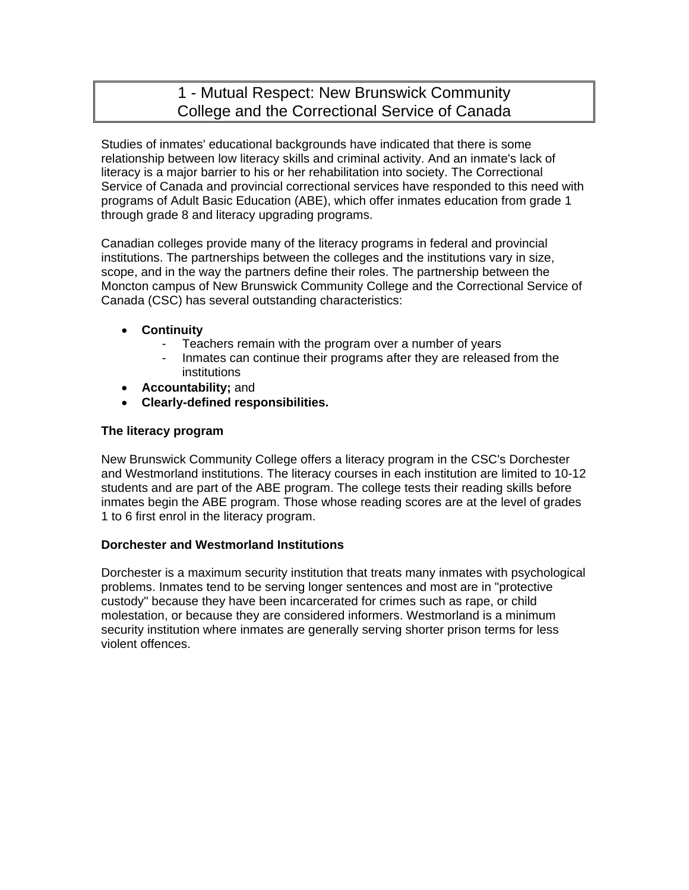# 1 - Mutual Respect: New Brunswick Community College and the Correctional Service of Canada

Studies of inmates' educational backgrounds have indicated that there is some relationship between low literacy skills and criminal activity. And an inmate's lack of literacy is a major barrier to his or her rehabilitation into society. The Correctional Service of Canada and provincial correctional services have responded to this need with programs of Adult Basic Education (ABE), which offer inmates education from grade 1 through grade 8 and literacy upgrading programs.

Canadian colleges provide many of the literacy programs in federal and provincial institutions. The partnerships between the colleges and the institutions vary in size, scope, and in the way the partners define their roles. The partnership between the Moncton campus of New Brunswick Community College and the Correctional Service of Canada (CSC) has several outstanding characteristics:

- **Continuity**
	- Teachers remain with the program over a number of years
	- Inmates can continue their programs after they are released from the institutions
- **Accountability;** and
- **Clearly-defined responsibilities.**

# **The literacy program**

New Brunswick Community College offers a literacy program in the CSC's Dorchester and Westmorland institutions. The literacy courses in each institution are limited to 10-12 students and are part of the ABE program. The college tests their reading skills before inmates begin the ABE program. Those whose reading scores are at the level of grades 1 to 6 first enrol in the literacy program.

# **Dorchester and Westmorland Institutions**

Dorchester is a maximum security institution that treats many inmates with psychological problems. Inmates tend to be serving longer sentences and most are in "protective custody" because they have been incarcerated for crimes such as rape, or child molestation, or because they are considered informers. Westmorland is a minimum security institution where inmates are generally serving shorter prison terms for less violent offences.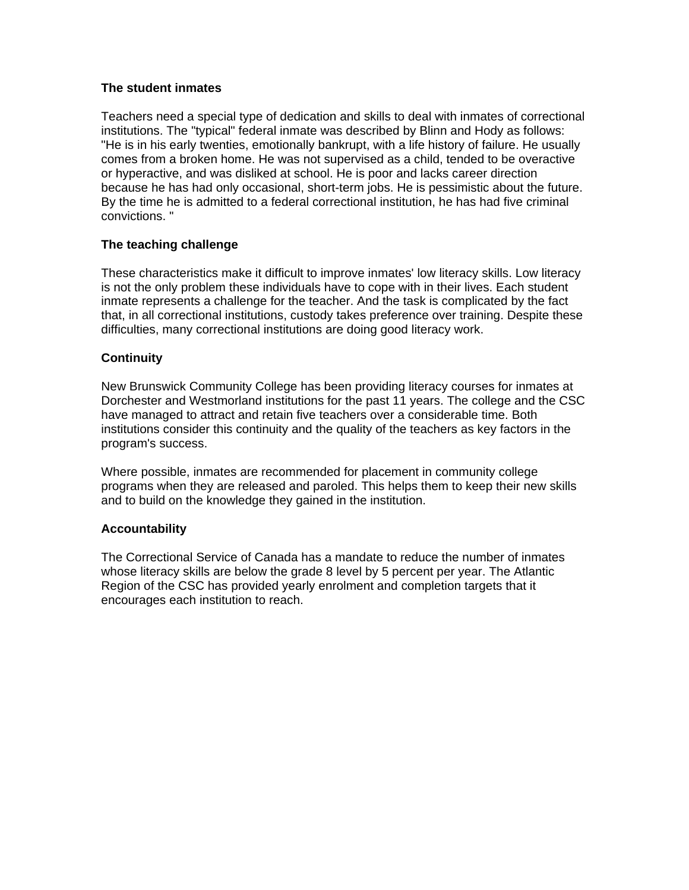# **The student inmates**

Teachers need a special type of dedication and skills to deal with inmates of correctional institutions. The "typical" federal inmate was described by Blinn and Hody as follows: "He is in his early twenties, emotionally bankrupt, with a life history of failure. He usually comes from a broken home. He was not supervised as a child, tended to be overactive or hyperactive, and was disliked at school. He is poor and lacks career direction because he has had only occasional, short-term jobs. He is pessimistic about the future. By the time he is admitted to a federal correctional institution, he has had five criminal convictions. "

# **The teaching challenge**

These characteristics make it difficult to improve inmates' low literacy skills. Low literacy is not the only problem these individuals have to cope with in their lives. Each student inmate represents a challenge for the teacher. And the task is complicated by the fact that, in all correctional institutions, custody takes preference over training. Despite these difficulties, many correctional institutions are doing good literacy work.

# **Continuity**

New Brunswick Community College has been providing literacy courses for inmates at Dorchester and Westmorland institutions for the past 11 years. The college and the CSC have managed to attract and retain five teachers over a considerable time. Both institutions consider this continuity and the quality of the teachers as key factors in the program's success.

Where possible, inmates are recommended for placement in community college programs when they are released and paroled. This helps them to keep their new skills and to build on the knowledge they gained in the institution.

#### **Accountability**

The Correctional Service of Canada has a mandate to reduce the number of inmates whose literacy skills are below the grade 8 level by 5 percent per year. The Atlantic Region of the CSC has provided yearly enrolment and completion targets that it encourages each institution to reach.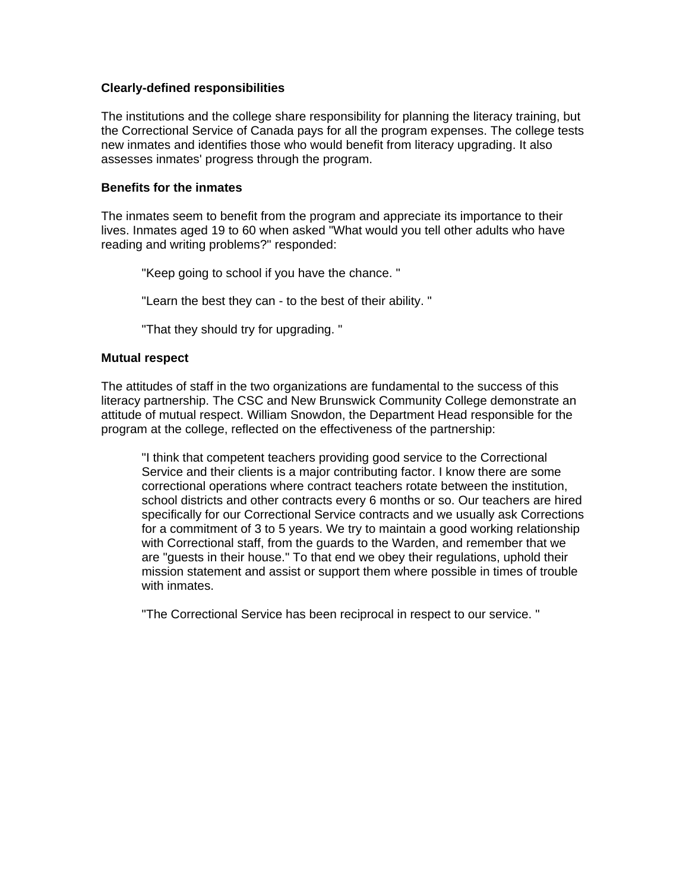#### **Clearly-defined responsibilities**

The institutions and the college share responsibility for planning the literacy training, but the Correctional Service of Canada pays for all the program expenses. The college tests new inmates and identifies those who would benefit from literacy upgrading. It also assesses inmates' progress through the program.

#### **Benefits for the inmates**

The inmates seem to benefit from the program and appreciate its importance to their lives. Inmates aged 19 to 60 when asked "What would you tell other adults who have reading and writing problems?" responded:

"Keep going to school if you have the chance. "

"Learn the best they can - to the best of their ability. "

"That they should try for upgrading. "

#### **Mutual respect**

The attitudes of staff in the two organizations are fundamental to the success of this literacy partnership. The CSC and New Brunswick Community College demonstrate an attitude of mutual respect. William Snowdon, the Department Head responsible for the program at the college, reflected on the effectiveness of the partnership:

"I think that competent teachers providing good service to the Correctional Service and their clients is a major contributing factor. I know there are some correctional operations where contract teachers rotate between the institution, school districts and other contracts every 6 months or so. Our teachers are hired specifically for our Correctional Service contracts and we usually ask Corrections for a commitment of 3 to 5 years. We try to maintain a good working relationship with Correctional staff, from the guards to the Warden, and remember that we are "guests in their house." To that end we obey their regulations, uphold their mission statement and assist or support them where possible in times of trouble with inmates.

"The Correctional Service has been reciprocal in respect to our service. "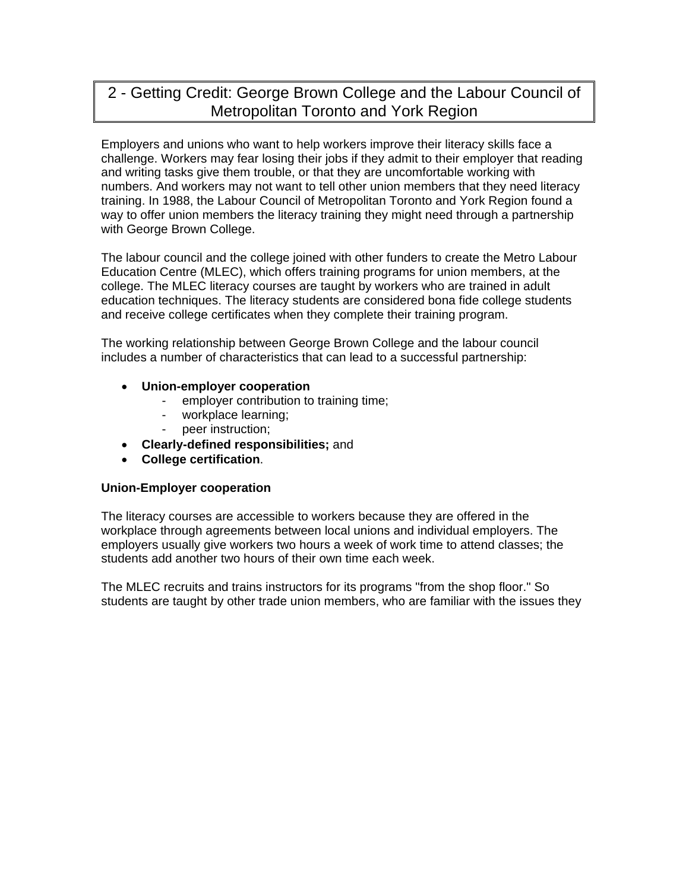# 2 - Getting Credit: George Brown College and the Labour Council of Metropolitan Toronto and York Region

Employers and unions who want to help workers improve their literacy skills face a challenge. Workers may fear losing their jobs if they admit to their employer that reading and writing tasks give them trouble, or that they are uncomfortable working with numbers. And workers may not want to tell other union members that they need literacy training. In 1988, the Labour Council of Metropolitan Toronto and York Region found a way to offer union members the literacy training they might need through a partnership with George Brown College.

The labour council and the college joined with other funders to create the Metro Labour Education Centre (MLEC), which offers training programs for union members, at the college. The MLEC literacy courses are taught by workers who are trained in adult education techniques. The literacy students are considered bona fide college students and receive college certificates when they complete their training program.

The working relationship between George Brown College and the labour council includes a number of characteristics that can lead to a successful partnership:

- **Union-employer cooperation** 
	- employer contribution to training time;
	- workplace learning;
	- peer instruction;
- **Clearly-defined responsibilities;** and
- **College certification**.

#### **Union-Employer cooperation**

The literacy courses are accessible to workers because they are offered in the workplace through agreements between local unions and individual employers. The employers usually give workers two hours a week of work time to attend classes; the students add another two hours of their own time each week.

The MLEC recruits and trains instructors for its programs "from the shop floor." So students are taught by other trade union members, who are familiar with the issues they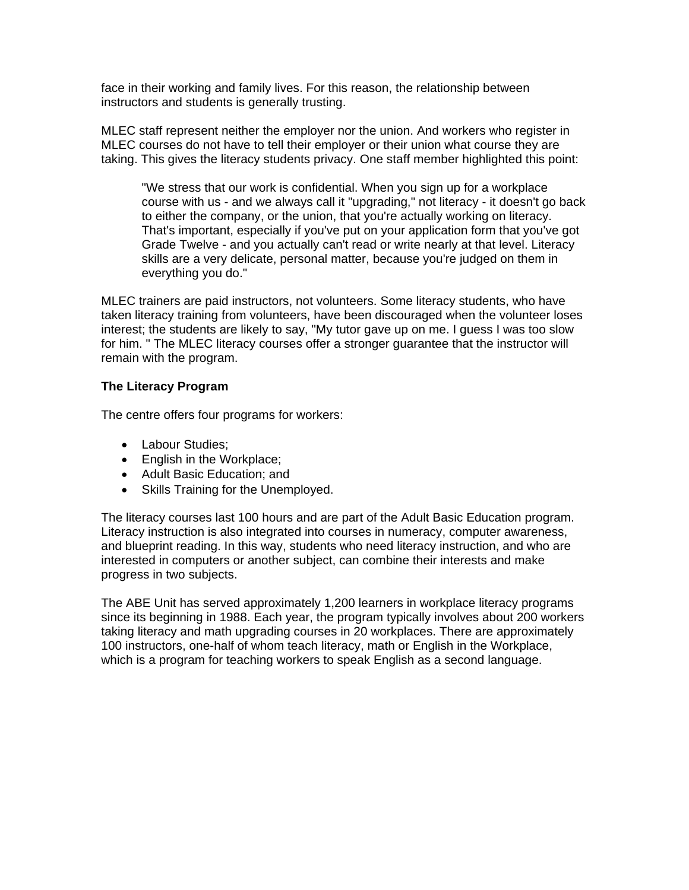face in their working and family lives. For this reason, the relationship between instructors and students is generally trusting.

MLEC staff represent neither the employer nor the union. And workers who register in MLEC courses do not have to tell their employer or their union what course they are taking. This gives the literacy students privacy. One staff member highlighted this point:

"We stress that our work is confidential. When you sign up for a workplace course with us - and we always call it "upgrading," not literacy - it doesn't go back to either the company, or the union, that you're actually working on literacy. That's important, especially if you've put on your application form that you've got Grade Twelve - and you actually can't read or write nearly at that level. Literacy skills are a very delicate, personal matter, because you're judged on them in everything you do."

MLEC trainers are paid instructors, not volunteers. Some literacy students, who have taken literacy training from volunteers, have been discouraged when the volunteer loses interest; the students are likely to say, "My tutor gave up on me. I guess I was too slow for him. " The MLEC literacy courses offer a stronger guarantee that the instructor will remain with the program.

# **The Literacy Program**

The centre offers four programs for workers:

- Labour Studies;
- English in the Workplace:
- Adult Basic Education; and
- Skills Training for the Unemployed.

The literacy courses last 100 hours and are part of the Adult Basic Education program. Literacy instruction is also integrated into courses in numeracy, computer awareness, and blueprint reading. In this way, students who need literacy instruction, and who are interested in computers or another subject, can combine their interests and make progress in two subjects.

The ABE Unit has served approximately 1,200 learners in workplace literacy programs since its beginning in 1988. Each year, the program typically involves about 200 workers taking literacy and math upgrading courses in 20 workplaces. There are approximately 100 instructors, one-half of whom teach literacy, math or English in the Workplace, which is a program for teaching workers to speak English as a second language.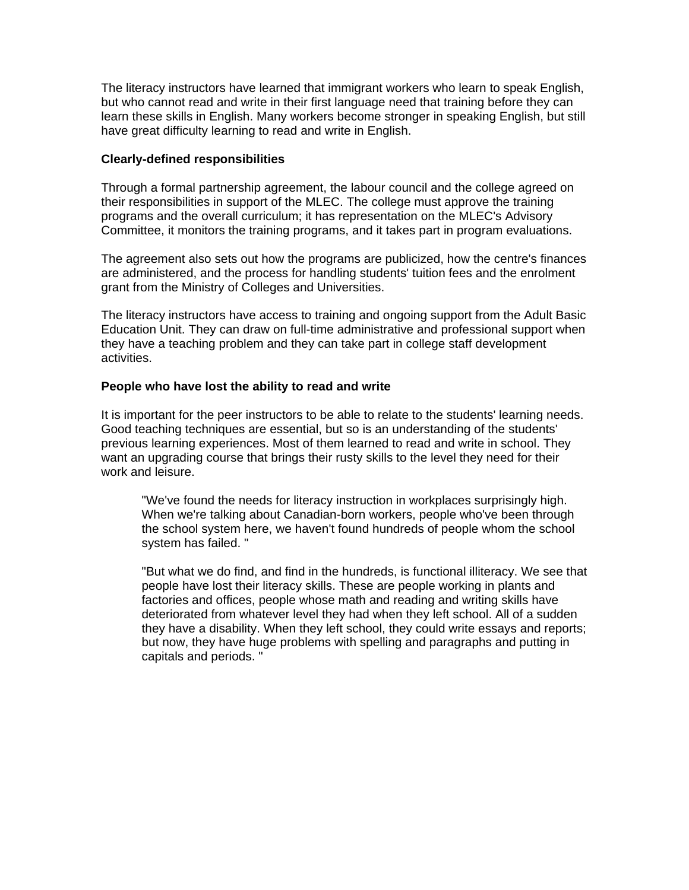The literacy instructors have learned that immigrant workers who learn to speak English, but who cannot read and write in their first language need that training before they can learn these skills in English. Many workers become stronger in speaking English, but still have great difficulty learning to read and write in English.

#### **Clearly-defined responsibilities**

Through a formal partnership agreement, the labour council and the college agreed on their responsibilities in support of the MLEC. The college must approve the training programs and the overall curriculum; it has representation on the MLEC's Advisory Committee, it monitors the training programs, and it takes part in program evaluations.

The agreement also sets out how the programs are publicized, how the centre's finances are administered, and the process for handling students' tuition fees and the enrolment grant from the Ministry of Colleges and Universities.

The literacy instructors have access to training and ongoing support from the Adult Basic Education Unit. They can draw on full-time administrative and professional support when they have a teaching problem and they can take part in college staff development activities.

# **People who have lost the ability to read and write**

It is important for the peer instructors to be able to relate to the students' learning needs. Good teaching techniques are essential, but so is an understanding of the students' previous learning experiences. Most of them learned to read and write in school. They want an upgrading course that brings their rusty skills to the level they need for their work and leisure.

"We've found the needs for literacy instruction in workplaces surprisingly high. When we're talking about Canadian-born workers, people who've been through the school system here, we haven't found hundreds of people whom the school system has failed. "

"But what we do find, and find in the hundreds, is functional illiteracy. We see that people have lost their literacy skills. These are people working in plants and factories and offices, people whose math and reading and writing skills have deteriorated from whatever level they had when they left school. All of a sudden they have a disability. When they left school, they could write essays and reports; but now, they have huge problems with spelling and paragraphs and putting in capitals and periods. "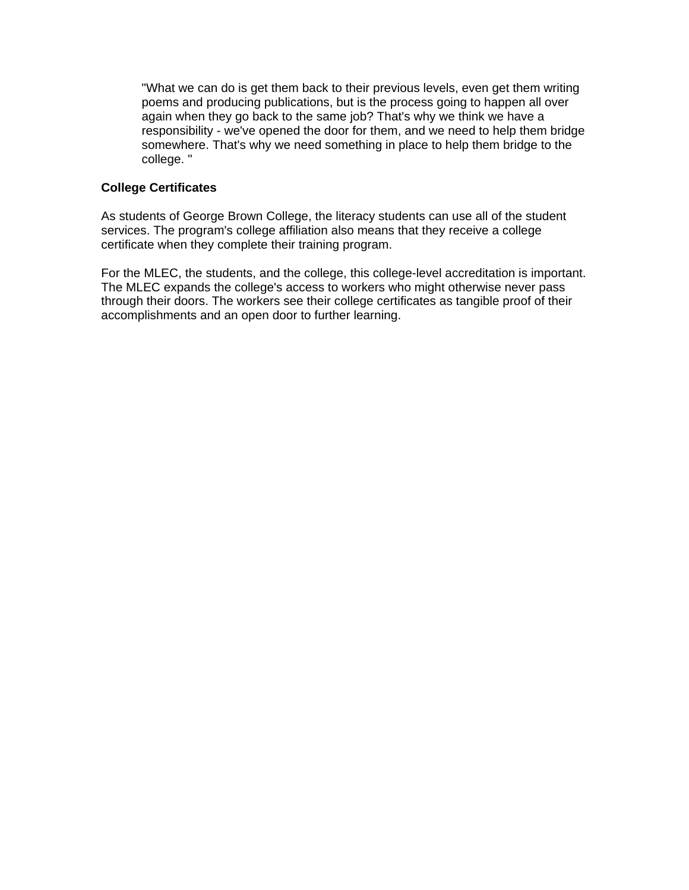"What we can do is get them back to their previous levels, even get them writing poems and producing publications, but is the process going to happen all over again when they go back to the same job? That's why we think we have a responsibility - we've opened the door for them, and we need to help them bridge somewhere. That's why we need something in place to help them bridge to the college. "

# **College Certificates**

As students of George Brown College, the literacy students can use all of the student services. The program's college affiliation also means that they receive a college certificate when they complete their training program.

For the MLEC, the students, and the college, this college-level accreditation is important. The MLEC expands the college's access to workers who might otherwise never pass through their doors. The workers see their college certificates as tangible proof of their accomplishments and an open door to further learning.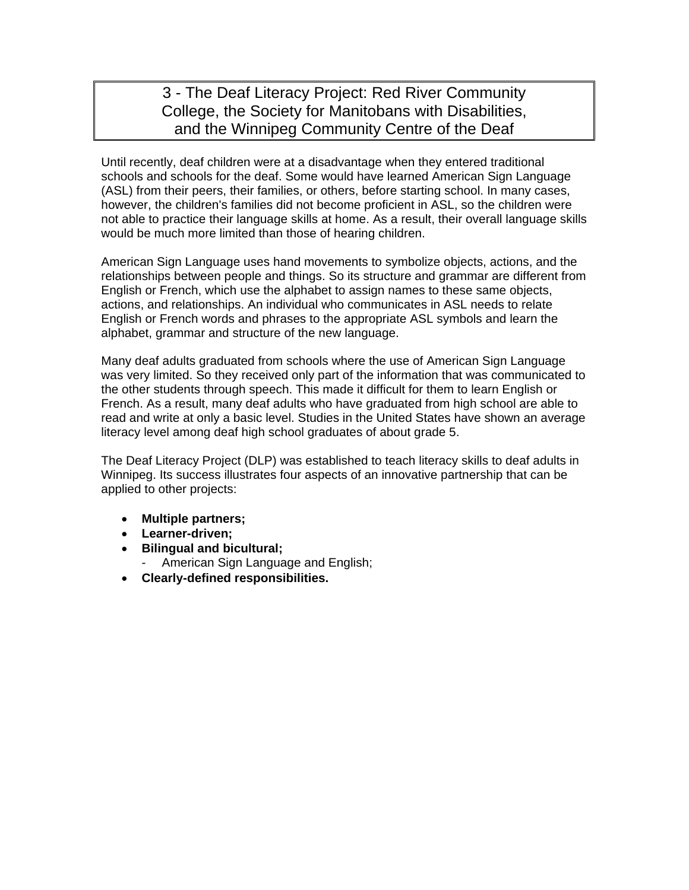# 3 - The Deaf Literacy Project: Red River Community College, the Society for Manitobans with Disabilities, and the Winnipeg Community Centre of the Deaf

Until recently, deaf children were at a disadvantage when they entered traditional schools and schools for the deaf. Some would have learned American Sign Language (ASL) from their peers, their families, or others, before starting school. In many cases, however, the children's families did not become proficient in ASL, so the children were not able to practice their language skills at home. As a result, their overall language skills would be much more limited than those of hearing children.

American Sign Language uses hand movements to symbolize objects, actions, and the relationships between people and things. So its structure and grammar are different from English or French, which use the alphabet to assign names to these same objects, actions, and relationships. An individual who communicates in ASL needs to relate English or French words and phrases to the appropriate ASL symbols and learn the alphabet, grammar and structure of the new language.

Many deaf adults graduated from schools where the use of American Sign Language was very limited. So they received only part of the information that was communicated to the other students through speech. This made it difficult for them to learn English or French. As a result, many deaf adults who have graduated from high school are able to read and write at only a basic level. Studies in the United States have shown an average literacy level among deaf high school graduates of about grade 5.

The Deaf Literacy Project (DLP) was established to teach literacy skills to deaf adults in Winnipeg. Its success illustrates four aspects of an innovative partnership that can be applied to other projects:

- **Multiple partners;**
- **Learner-driven;**
- **Bilingual and bicultural;** 
	- American Sign Language and English;
- **Clearly-defined responsibilities.**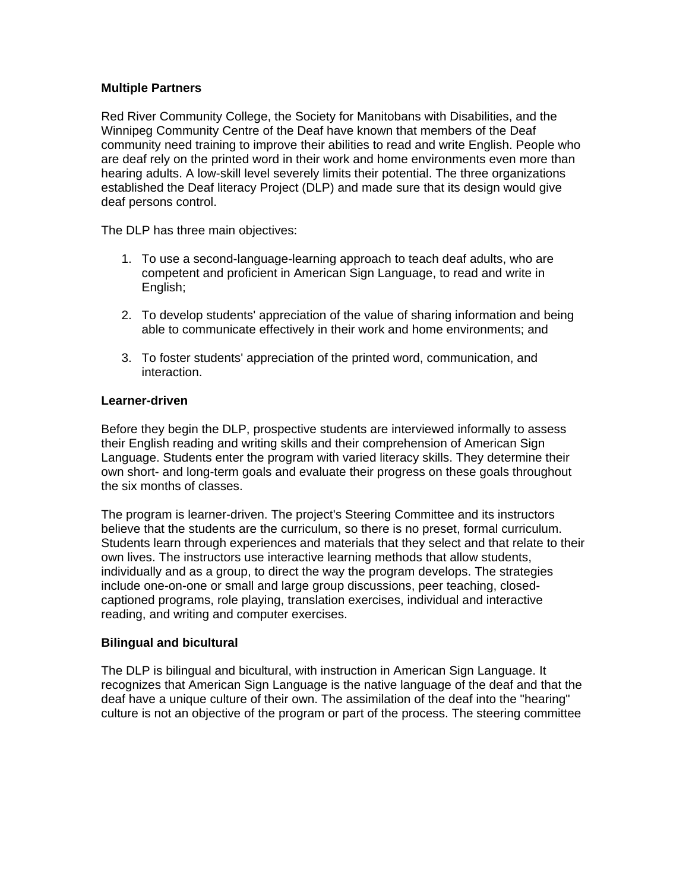## **Multiple Partners**

Red River Community College, the Society for Manitobans with Disabilities, and the Winnipeg Community Centre of the Deaf have known that members of the Deaf community need training to improve their abilities to read and write English. People who are deaf rely on the printed word in their work and home environments even more than hearing adults. A low-skill level severely limits their potential. The three organizations established the Deaf literacy Project (DLP) and made sure that its design would give deaf persons control.

The DLP has three main objectives:

- 1. To use a second-language-learning approach to teach deaf adults, who are competent and proficient in American Sign Language, to read and write in English;
- 2. To develop students' appreciation of the value of sharing information and being able to communicate effectively in their work and home environments; and
- 3. To foster students' appreciation of the printed word, communication, and interaction.

#### **Learner-driven**

Before they begin the DLP, prospective students are interviewed informally to assess their English reading and writing skills and their comprehension of American Sign Language. Students enter the program with varied literacy skills. They determine their own short- and long-term goals and evaluate their progress on these goals throughout the six months of classes.

The program is learner-driven. The project's Steering Committee and its instructors believe that the students are the curriculum, so there is no preset, formal curriculum. Students learn through experiences and materials that they select and that relate to their own lives. The instructors use interactive learning methods that allow students, individually and as a group, to direct the way the program develops. The strategies include one-on-one or small and large group discussions, peer teaching, closedcaptioned programs, role playing, translation exercises, individual and interactive reading, and writing and computer exercises.

#### **Bilingual and bicultural**

The DLP is bilingual and bicultural, with instruction in American Sign Language. It recognizes that American Sign Language is the native language of the deaf and that the deaf have a unique culture of their own. The assimilation of the deaf into the "hearing" culture is not an objective of the program or part of the process. The steering committee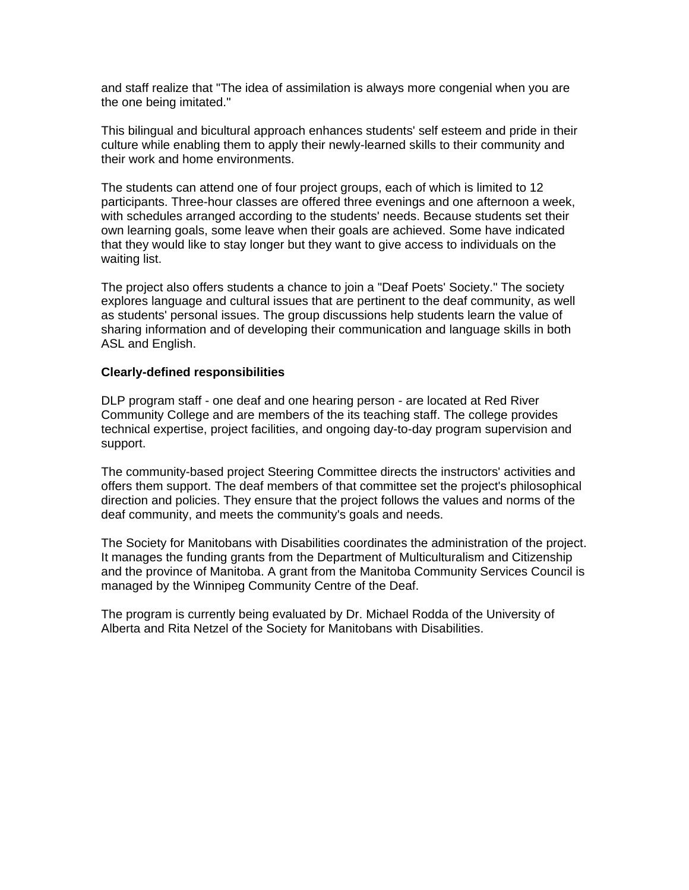and staff realize that "The idea of assimilation is always more congenial when you are the one being imitated."

This bilingual and bicultural approach enhances students' self esteem and pride in their culture while enabling them to apply their newly-learned skills to their community and their work and home environments.

The students can attend one of four project groups, each of which is limited to 12 participants. Three-hour classes are offered three evenings and one afternoon a week, with schedules arranged according to the students' needs. Because students set their own learning goals, some leave when their goals are achieved. Some have indicated that they would like to stay longer but they want to give access to individuals on the waiting list.

The project also offers students a chance to join a "Deaf Poets' Society." The society explores language and cultural issues that are pertinent to the deaf community, as well as students' personal issues. The group discussions help students learn the value of sharing information and of developing their communication and language skills in both ASL and English.

#### **Clearly-defined responsibilities**

DLP program staff - one deaf and one hearing person - are located at Red River Community College and are members of the its teaching staff. The college provides technical expertise, project facilities, and ongoing day-to-day program supervision and support.

The community-based project Steering Committee directs the instructors' activities and offers them support. The deaf members of that committee set the project's philosophical direction and policies. They ensure that the project follows the values and norms of the deaf community, and meets the community's goals and needs.

The Society for Manitobans with Disabilities coordinates the administration of the project. It manages the funding grants from the Department of Multiculturalism and Citizenship and the province of Manitoba. A grant from the Manitoba Community Services Council is managed by the Winnipeg Community Centre of the Deaf.

The program is currently being evaluated by Dr. Michael Rodda of the University of Alberta and Rita Netzel of the Society for Manitobans with Disabilities.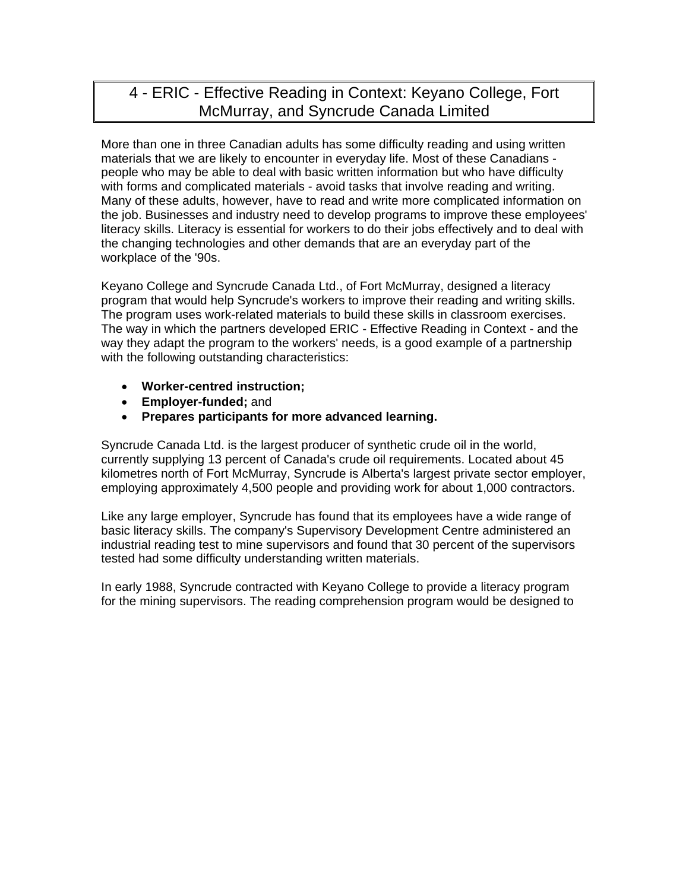# 4 - ERIC - Effective Reading in Context: Keyano College, Fort McMurray, and Syncrude Canada Limited

More than one in three Canadian adults has some difficulty reading and using written materials that we are likely to encounter in everyday life. Most of these Canadians people who may be able to deal with basic written information but who have difficulty with forms and complicated materials - avoid tasks that involve reading and writing. Many of these adults, however, have to read and write more complicated information on the job. Businesses and industry need to develop programs to improve these employees' literacy skills. Literacy is essential for workers to do their jobs effectively and to deal with the changing technologies and other demands that are an everyday part of the workplace of the '90s.

Keyano College and Syncrude Canada Ltd., of Fort McMurray, designed a literacy program that would help Syncrude's workers to improve their reading and writing skills. The program uses work-related materials to build these skills in classroom exercises. The way in which the partners developed ERIC - Effective Reading in Context - and the way they adapt the program to the workers' needs, is a good example of a partnership with the following outstanding characteristics:

- **Worker-centred instruction;**
- **Employer-funded;** and
- **Prepares participants for more advanced learning.**

Syncrude Canada Ltd. is the largest producer of synthetic crude oil in the world, currently supplying 13 percent of Canada's crude oil requirements. Located about 45 kilometres north of Fort McMurray, Syncrude is Alberta's largest private sector employer, employing approximately 4,500 people and providing work for about 1,000 contractors.

Like any large employer, Syncrude has found that its employees have a wide range of basic literacy skills. The company's Supervisory Development Centre administered an industrial reading test to mine supervisors and found that 30 percent of the supervisors tested had some difficulty understanding written materials.

In early 1988, Syncrude contracted with Keyano College to provide a literacy program for the mining supervisors. The reading comprehension program would be designed to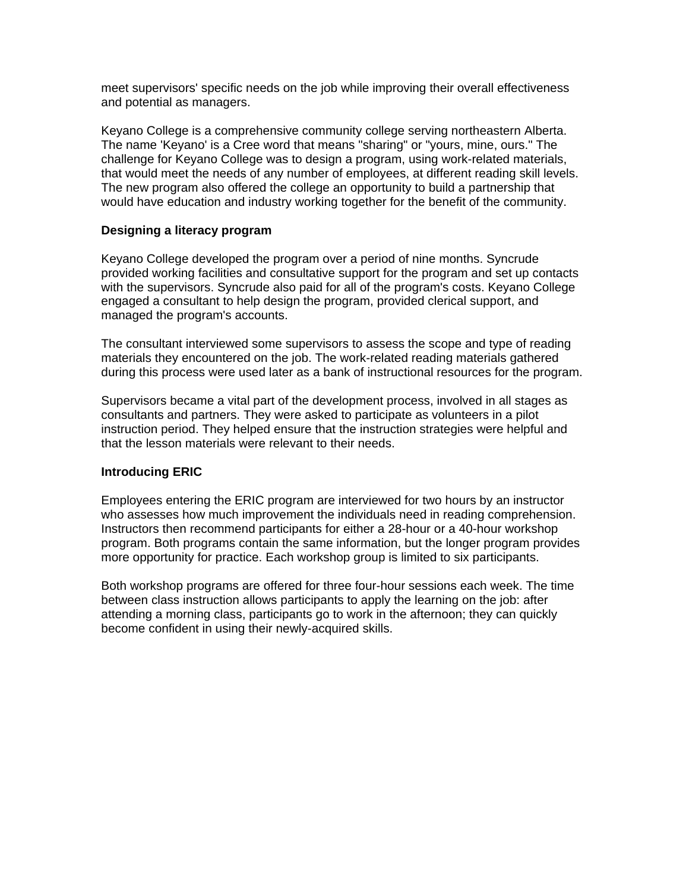meet supervisors' specific needs on the job while improving their overall effectiveness and potential as managers.

Keyano College is a comprehensive community college serving northeastern Alberta. The name 'Keyano' is a Cree word that means "sharing" or "yours, mine, ours." The challenge for Keyano College was to design a program, using work-related materials, that would meet the needs of any number of employees, at different reading skill levels. The new program also offered the college an opportunity to build a partnership that would have education and industry working together for the benefit of the community.

#### **Designing a literacy program**

Keyano College developed the program over a period of nine months. Syncrude provided working facilities and consultative support for the program and set up contacts with the supervisors. Syncrude also paid for all of the program's costs. Keyano College engaged a consultant to help design the program, provided clerical support, and managed the program's accounts.

The consultant interviewed some supervisors to assess the scope and type of reading materials they encountered on the job. The work-related reading materials gathered during this process were used later as a bank of instructional resources for the program.

Supervisors became a vital part of the development process, involved in all stages as consultants and partners. They were asked to participate as volunteers in a pilot instruction period. They helped ensure that the instruction strategies were helpful and that the lesson materials were relevant to their needs.

# **Introducing ERIC**

Employees entering the ERIC program are interviewed for two hours by an instructor who assesses how much improvement the individuals need in reading comprehension. Instructors then recommend participants for either a 28-hour or a 40-hour workshop program. Both programs contain the same information, but the longer program provides more opportunity for practice. Each workshop group is limited to six participants.

Both workshop programs are offered for three four-hour sessions each week. The time between class instruction allows participants to apply the learning on the job: after attending a morning class, participants go to work in the afternoon; they can quickly become confident in using their newly-acquired skills.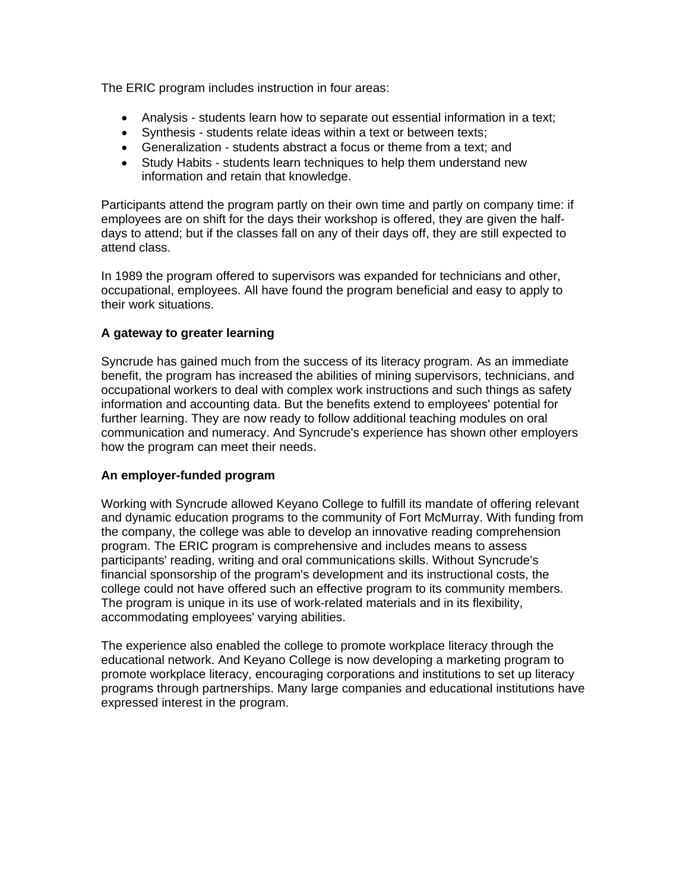The ERIC program includes instruction in four areas:

- Analysis students learn how to separate out essential information in a text;
- Synthesis students relate ideas within a text or between texts;
- Generalization students abstract a focus or theme from a text; and
- Study Habits students learn techniques to help them understand new information and retain that knowledge.

Participants attend the program partly on their own time and partly on company time: if employees are on shift for the days their workshop is offered, they are given the halfdays to attend; but if the classes fall on any of their days off, they are still expected to attend class.

In 1989 the program offered to supervisors was expanded for technicians and other, occupational, employees. All have found the program beneficial and easy to apply to their work situations.

# **A gateway to greater learning**

Syncrude has gained much from the success of its literacy program. As an immediate benefit, the program has increased the abilities of mining supervisors, technicians, and occupational workers to deal with complex work instructions and such things as safety information and accounting data. But the benefits extend to employees' potential for further learning. They are now ready to follow additional teaching modules on oral communication and numeracy. And Syncrude's experience has shown other employers how the program can meet their needs.

# **An employer-funded program**

Working with Syncrude allowed Keyano College to fulfill its mandate of offering relevant and dynamic education programs to the community of Fort McMurray. With funding from the company, the college was able to develop an innovative reading comprehension program. The ERIC program is comprehensive and includes means to assess participants' reading, writing and oral communications skills. Without Syncrude's financial sponsorship of the program's development and its instructional costs, the college could not have offered such an effective program to its community members. The program is unique in its use of work-related materials and in its flexibility, accommodating employees' varying abilities.

The experience also enabled the college to promote workplace literacy through the educational network. And Keyano College is now developing a marketing program to promote workplace literacy, encouraging corporations and institutions to set up literacy programs through partnerships. Many large companies and educational institutions have expressed interest in the program.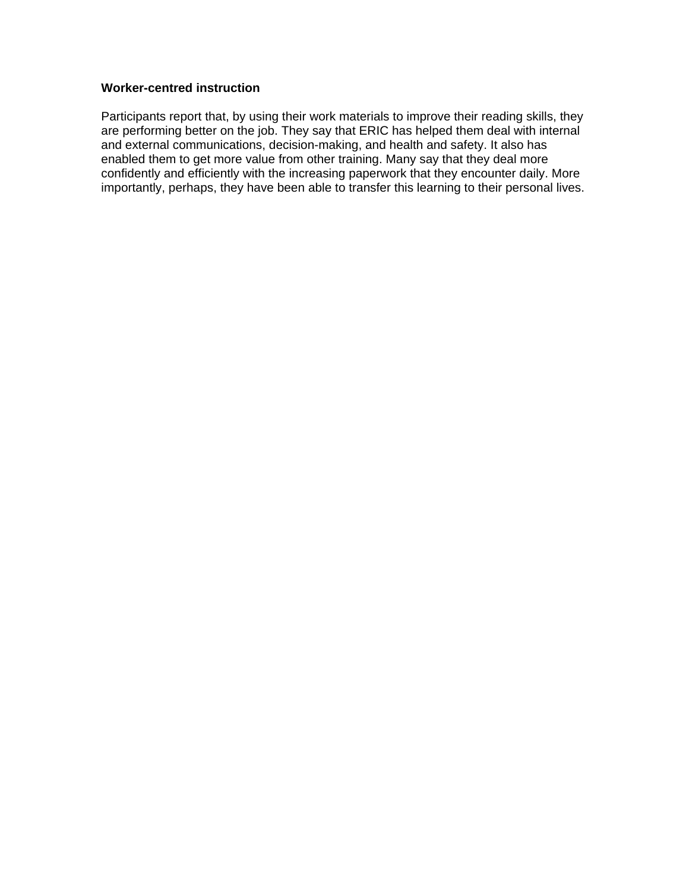### **Worker-centred instruction**

Participants report that, by using their work materials to improve their reading skills, they are performing better on the job. They say that ERIC has helped them deal with internal and external communications, decision-making, and health and safety. It also has enabled them to get more value from other training. Many say that they deal more confidently and efficiently with the increasing paperwork that they encounter daily. More importantly, perhaps, they have been able to transfer this learning to their personal lives.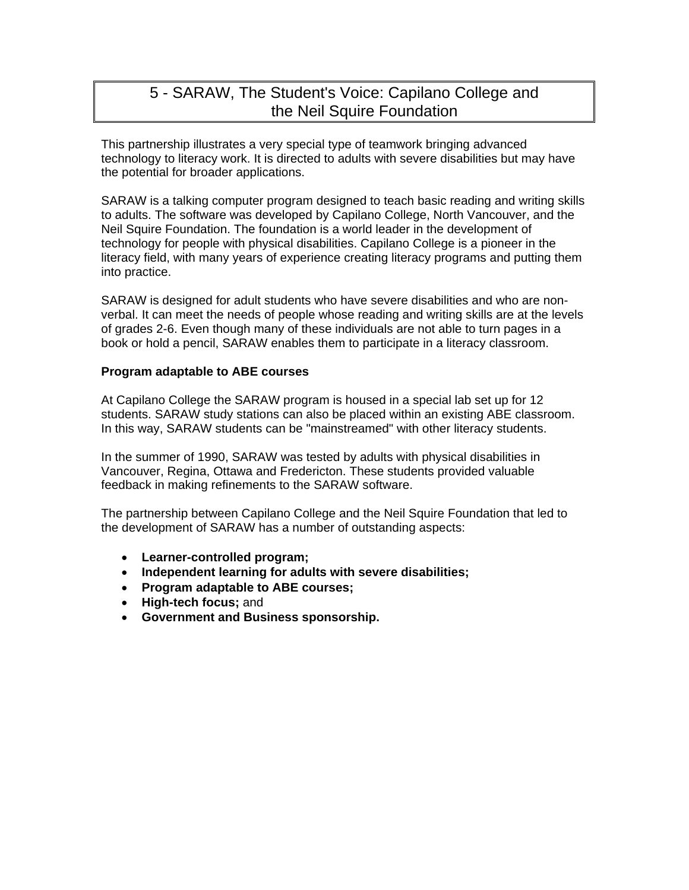# 5 - SARAW, The Student's Voice: Capilano College and the Neil Squire Foundation

This partnership illustrates a very special type of teamwork bringing advanced technology to literacy work. It is directed to adults with severe disabilities but may have the potential for broader applications.

SARAW is a talking computer program designed to teach basic reading and writing skills to adults. The software was developed by Capilano College, North Vancouver, and the Neil Squire Foundation. The foundation is a world leader in the development of technology for people with physical disabilities. Capilano College is a pioneer in the literacy field, with many years of experience creating literacy programs and putting them into practice.

SARAW is designed for adult students who have severe disabilities and who are nonverbal. It can meet the needs of people whose reading and writing skills are at the levels of grades 2-6. Even though many of these individuals are not able to turn pages in a book or hold a pencil, SARAW enables them to participate in a literacy classroom.

#### **Program adaptable to ABE courses**

At Capilano College the SARAW program is housed in a special lab set up for 12 students. SARAW study stations can also be placed within an existing ABE classroom. In this way, SARAW students can be "mainstreamed" with other literacy students.

In the summer of 1990, SARAW was tested by adults with physical disabilities in Vancouver, Regina, Ottawa and Fredericton. These students provided valuable feedback in making refinements to the SARAW software.

The partnership between Capilano College and the Neil Squire Foundation that led to the development of SARAW has a number of outstanding aspects:

- **Learner-controlled program;**
- **Independent learning for adults with severe disabilities;**
- **Program adaptable to ABE courses;**
- **High-tech focus;** and
- **Government and Business sponsorship.**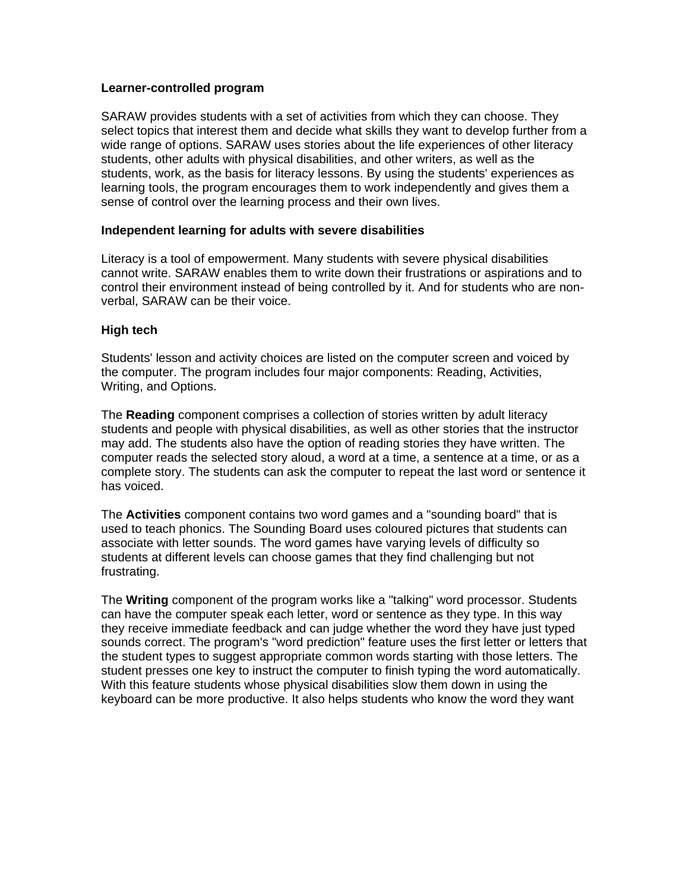#### **Learner-controlled program**

SARAW provides students with a set of activities from which they can choose. They select topics that interest them and decide what skills they want to develop further from a wide range of options. SARAW uses stories about the life experiences of other literacy students, other adults with physical disabilities, and other writers, as well as the students, work, as the basis for literacy lessons. By using the students' experiences as learning tools, the program encourages them to work independently and gives them a sense of control over the learning process and their own lives.

#### **Independent learning for adults with severe disabilities**

Literacy is a tool of empowerment. Many students with severe physical disabilities cannot write. SARAW enables them to write down their frustrations or aspirations and to control their environment instead of being controlled by it. And for students who are nonverbal, SARAW can be their voice.

#### **High tech**

Students' lesson and activity choices are listed on the computer screen and voiced by the computer. The program includes four major components: Reading, Activities, Writing, and Options.

The **Reading** component comprises a collection of stories written by adult literacy students and people with physical disabilities, as well as other stories that the instructor may add. The students also have the option of reading stories they have written. The computer reads the selected story aloud, a word at a time, a sentence at a time, or as a complete story. The students can ask the computer to repeat the last word or sentence it has voiced.

The **Activities** component contains two word games and a "sounding board" that is used to teach phonics. The Sounding Board uses coloured pictures that students can associate with letter sounds. The word games have varying levels of difficulty so students at different levels can choose games that they find challenging but not frustrating.

The **Writing** component of the program works like a "talking" word processor. Students can have the computer speak each letter, word or sentence as they type. In this way they receive immediate feedback and can judge whether the word they have just typed sounds correct. The program's "word prediction" feature uses the first letter or letters that the student types to suggest appropriate common words starting with those letters. The student presses one key to instruct the computer to finish typing the word automatically. With this feature students whose physical disabilities slow them down in using the keyboard can be more productive. It also helps students who know the word they want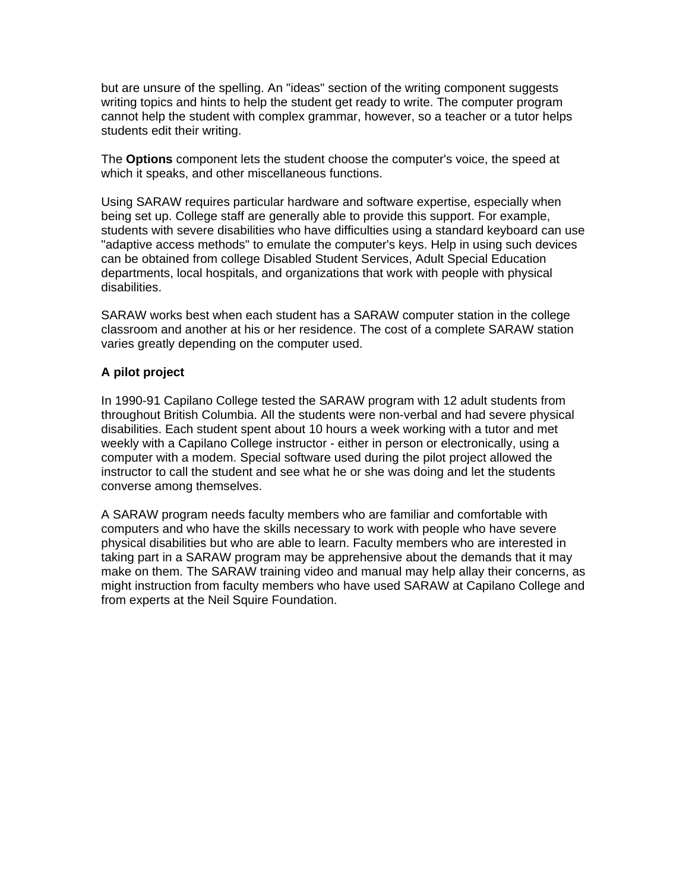but are unsure of the spelling. An "ideas" section of the writing component suggests writing topics and hints to help the student get ready to write. The computer program cannot help the student with complex grammar, however, so a teacher or a tutor helps students edit their writing.

The **Options** component lets the student choose the computer's voice, the speed at which it speaks, and other miscellaneous functions.

Using SARAW requires particular hardware and software expertise, especially when being set up. College staff are generally able to provide this support. For example, students with severe disabilities who have difficulties using a standard keyboard can use "adaptive access methods" to emulate the computer's keys. Help in using such devices can be obtained from college Disabled Student Services, Adult Special Education departments, local hospitals, and organizations that work with people with physical disabilities.

SARAW works best when each student has a SARAW computer station in the college classroom and another at his or her residence. The cost of a complete SARAW station varies greatly depending on the computer used.

#### **A pilot project**

In 1990-91 Capilano College tested the SARAW program with 12 adult students from throughout British Columbia. All the students were non-verbal and had severe physical disabilities. Each student spent about 10 hours a week working with a tutor and met weekly with a Capilano College instructor - either in person or electronically, using a computer with a modem. Special software used during the pilot project allowed the instructor to call the student and see what he or she was doing and let the students converse among themselves.

A SARAW program needs faculty members who are familiar and comfortable with computers and who have the skills necessary to work with people who have severe physical disabilities but who are able to learn. Faculty members who are interested in taking part in a SARAW program may be apprehensive about the demands that it may make on them. The SARAW training video and manual may help allay their concerns, as might instruction from faculty members who have used SARAW at Capilano College and from experts at the Neil Squire Foundation.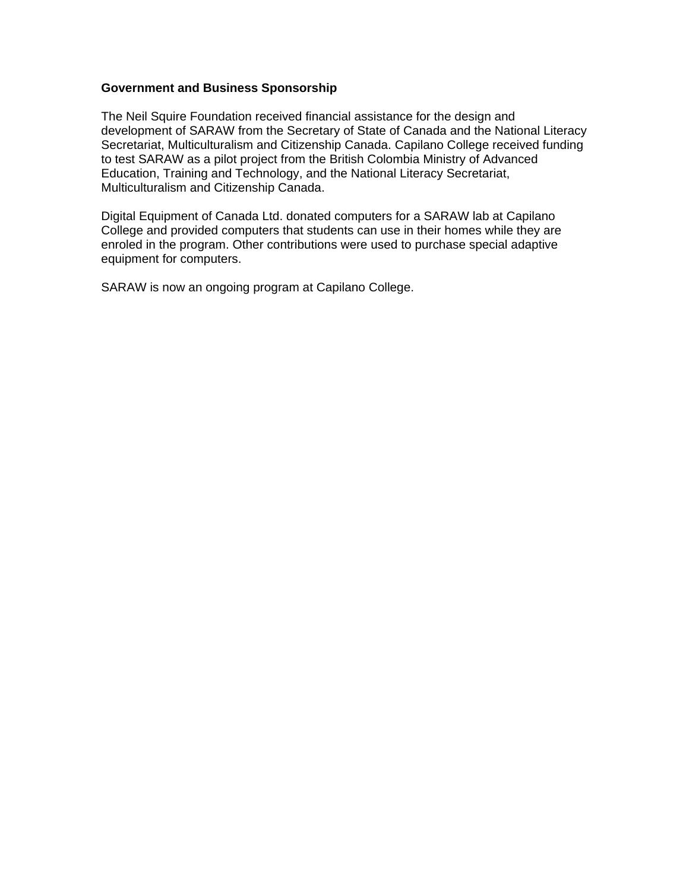#### **Government and Business Sponsorship**

The Neil Squire Foundation received financial assistance for the design and development of SARAW from the Secretary of State of Canada and the National Literacy Secretariat, Multiculturalism and Citizenship Canada. Capilano College received funding to test SARAW as a pilot project from the British Colombia Ministry of Advanced Education, Training and Technology, and the National Literacy Secretariat, Multiculturalism and Citizenship Canada.

Digital Equipment of Canada Ltd. donated computers for a SARAW lab at Capilano College and provided computers that students can use in their homes while they are enroled in the program. Other contributions were used to purchase special adaptive equipment for computers.

SARAW is now an ongoing program at Capilano College.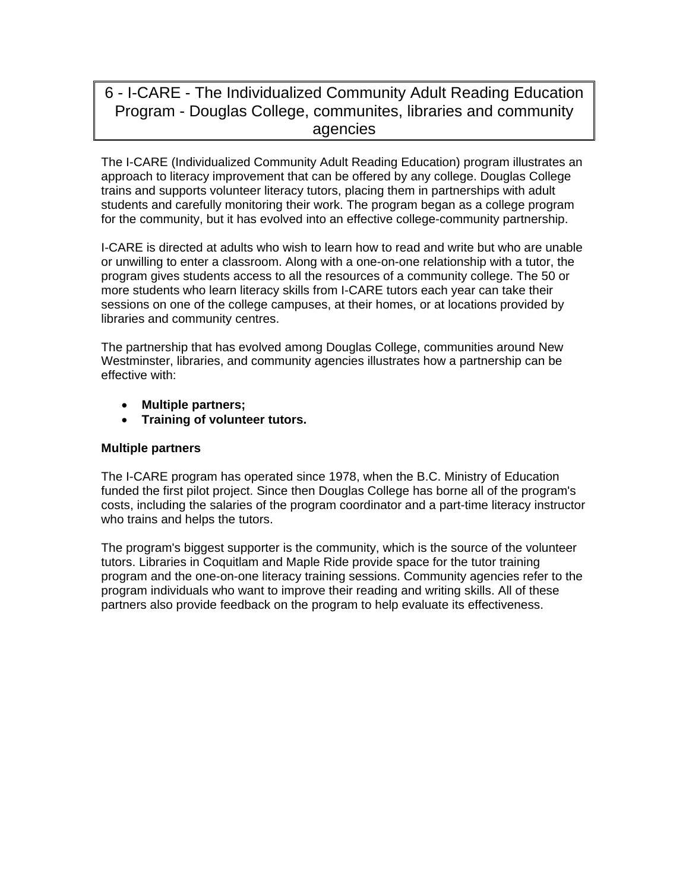# 6 - I-CARE - The Individualized Community Adult Reading Education Program - Douglas College, communites, libraries and community agencies

The I-CARE (Individualized Community Adult Reading Education) program illustrates an approach to literacy improvement that can be offered by any college. Douglas College trains and supports volunteer literacy tutors, placing them in partnerships with adult students and carefully monitoring their work. The program began as a college program for the community, but it has evolved into an effective college-community partnership.

I-CARE is directed at adults who wish to learn how to read and write but who are unable or unwilling to enter a classroom. Along with a one-on-one relationship with a tutor, the program gives students access to all the resources of a community college. The 50 or more students who learn literacy skills from I-CARE tutors each year can take their sessions on one of the college campuses, at their homes, or at locations provided by libraries and community centres.

The partnership that has evolved among Douglas College, communities around New Westminster, libraries, and community agencies illustrates how a partnership can be effective with:

- **Multiple partners;**
- **Training of volunteer tutors.**

#### **Multiple partners**

The I-CARE program has operated since 1978, when the B.C. Ministry of Education funded the first pilot project. Since then Douglas College has borne all of the program's costs, including the salaries of the program coordinator and a part-time literacy instructor who trains and helps the tutors.

The program's biggest supporter is the community, which is the source of the volunteer tutors. Libraries in Coquitlam and Maple Ride provide space for the tutor training program and the one-on-one literacy training sessions. Community agencies refer to the program individuals who want to improve their reading and writing skills. All of these partners also provide feedback on the program to help evaluate its effectiveness.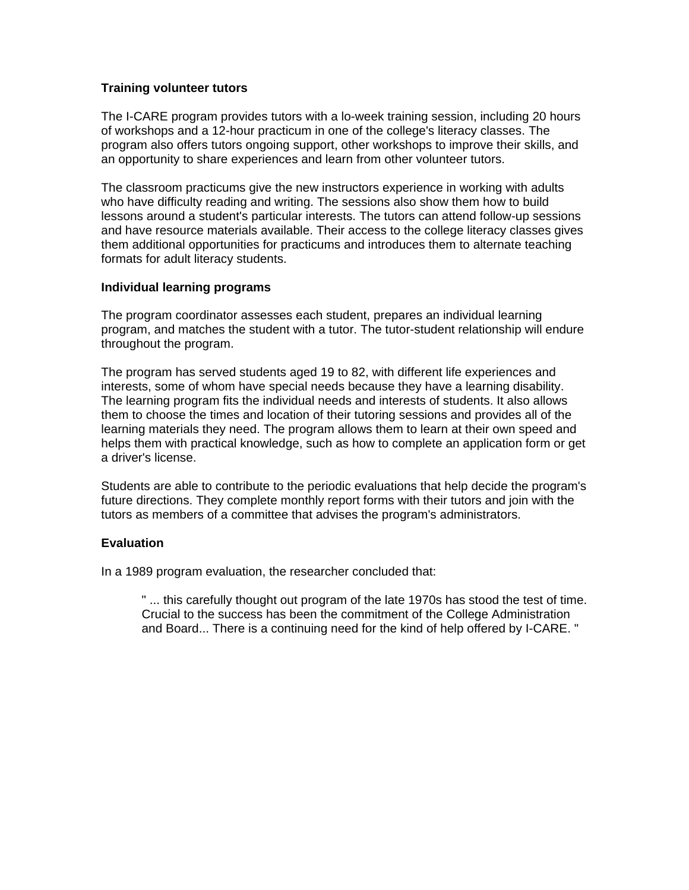### **Training volunteer tutors**

The I-CARE program provides tutors with a lo-week training session, including 20 hours of workshops and a 12-hour practicum in one of the college's literacy classes. The program also offers tutors ongoing support, other workshops to improve their skills, and an opportunity to share experiences and learn from other volunteer tutors.

The classroom practicums give the new instructors experience in working with adults who have difficulty reading and writing. The sessions also show them how to build lessons around a student's particular interests. The tutors can attend follow-up sessions and have resource materials available. Their access to the college literacy classes gives them additional opportunities for practicums and introduces them to alternate teaching formats for adult literacy students.

#### **Individual learning programs**

The program coordinator assesses each student, prepares an individual learning program, and matches the student with a tutor. The tutor-student relationship will endure throughout the program.

The program has served students aged 19 to 82, with different life experiences and interests, some of whom have special needs because they have a learning disability. The learning program fits the individual needs and interests of students. It also allows them to choose the times and location of their tutoring sessions and provides all of the learning materials they need. The program allows them to learn at their own speed and helps them with practical knowledge, such as how to complete an application form or get a driver's license.

Students are able to contribute to the periodic evaluations that help decide the program's future directions. They complete monthly report forms with their tutors and join with the tutors as members of a committee that advises the program's administrators.

# **Evaluation**

In a 1989 program evaluation, the researcher concluded that:

" ... this carefully thought out program of the late 1970s has stood the test of time. Crucial to the success has been the commitment of the College Administration and Board... There is a continuing need for the kind of help offered by I-CARE. "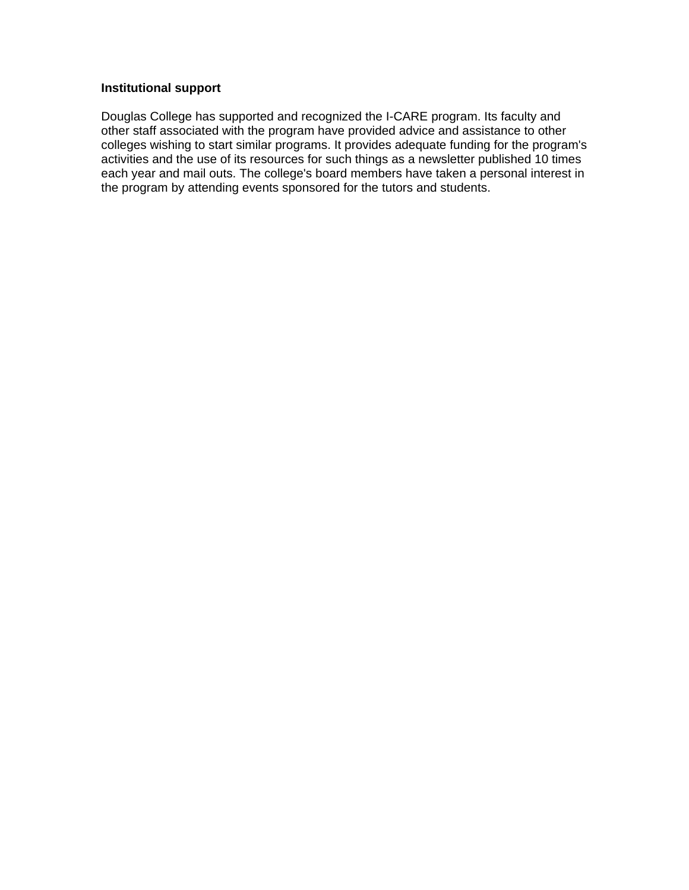## **Institutional support**

Douglas College has supported and recognized the I-CARE program. Its faculty and other staff associated with the program have provided advice and assistance to other colleges wishing to start similar programs. It provides adequate funding for the program's activities and the use of its resources for such things as a newsletter published 10 times each year and mail outs. The college's board members have taken a personal interest in the program by attending events sponsored for the tutors and students.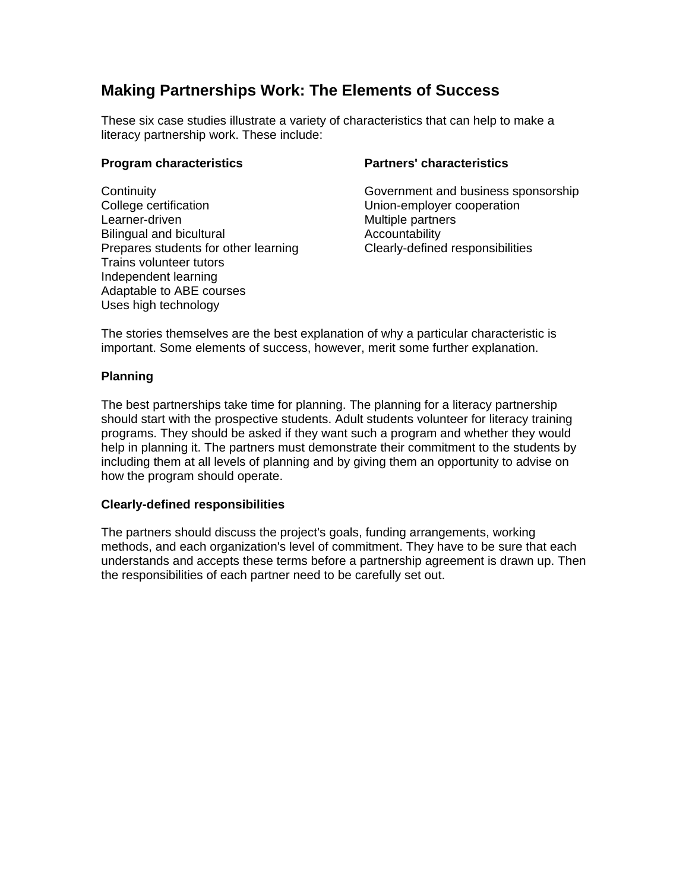# **Making Partnerships Work: The Elements of Success**

These six case studies illustrate a variety of characteristics that can help to make a literacy partnership work. These include:

## **Program characteristics**

**Continuity** College certification Learner-driven Bilingual and bicultural Prepares students for other learning Trains volunteer tutors Independent learning Adaptable to ABE courses Uses high technology

# **Partners' characteristics**

Government and business sponsorship Union-employer cooperation Multiple partners Accountability Clearly-defined responsibilities

The stories themselves are the best explanation of why a particular characteristic is important. Some elements of success, however, merit some further explanation.

# **Planning**

The best partnerships take time for planning. The planning for a literacy partnership should start with the prospective students. Adult students volunteer for literacy training programs. They should be asked if they want such a program and whether they would help in planning it. The partners must demonstrate their commitment to the students by including them at all levels of planning and by giving them an opportunity to advise on how the program should operate.

# **Clearly-defined responsibilities**

The partners should discuss the project's goals, funding arrangements, working methods, and each organization's level of commitment. They have to be sure that each understands and accepts these terms before a partnership agreement is drawn up. Then the responsibilities of each partner need to be carefully set out.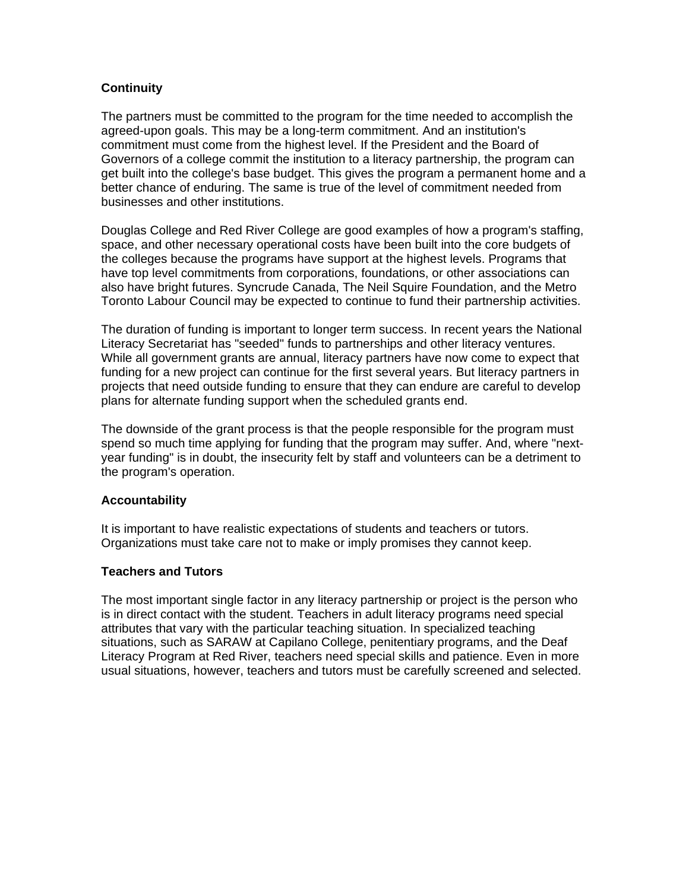# **Continuity**

The partners must be committed to the program for the time needed to accomplish the agreed-upon goals. This may be a long-term commitment. And an institution's commitment must come from the highest level. If the President and the Board of Governors of a college commit the institution to a literacy partnership, the program can get built into the college's base budget. This gives the program a permanent home and a better chance of enduring. The same is true of the level of commitment needed from businesses and other institutions.

Douglas College and Red River College are good examples of how a program's staffing, space, and other necessary operational costs have been built into the core budgets of the colleges because the programs have support at the highest levels. Programs that have top level commitments from corporations, foundations, or other associations can also have bright futures. Syncrude Canada, The Neil Squire Foundation, and the Metro Toronto Labour Council may be expected to continue to fund their partnership activities.

The duration of funding is important to longer term success. In recent years the National Literacy Secretariat has "seeded" funds to partnerships and other literacy ventures. While all government grants are annual, literacy partners have now come to expect that funding for a new project can continue for the first several years. But literacy partners in projects that need outside funding to ensure that they can endure are careful to develop plans for alternate funding support when the scheduled grants end.

The downside of the grant process is that the people responsible for the program must spend so much time applying for funding that the program may suffer. And, where "nextyear funding" is in doubt, the insecurity felt by staff and volunteers can be a detriment to the program's operation.

#### **Accountability**

It is important to have realistic expectations of students and teachers or tutors. Organizations must take care not to make or imply promises they cannot keep.

#### **Teachers and Tutors**

The most important single factor in any literacy partnership or project is the person who is in direct contact with the student. Teachers in adult literacy programs need special attributes that vary with the particular teaching situation. In specialized teaching situations, such as SARAW at Capilano College, penitentiary programs, and the Deaf Literacy Program at Red River, teachers need special skills and patience. Even in more usual situations, however, teachers and tutors must be carefully screened and selected.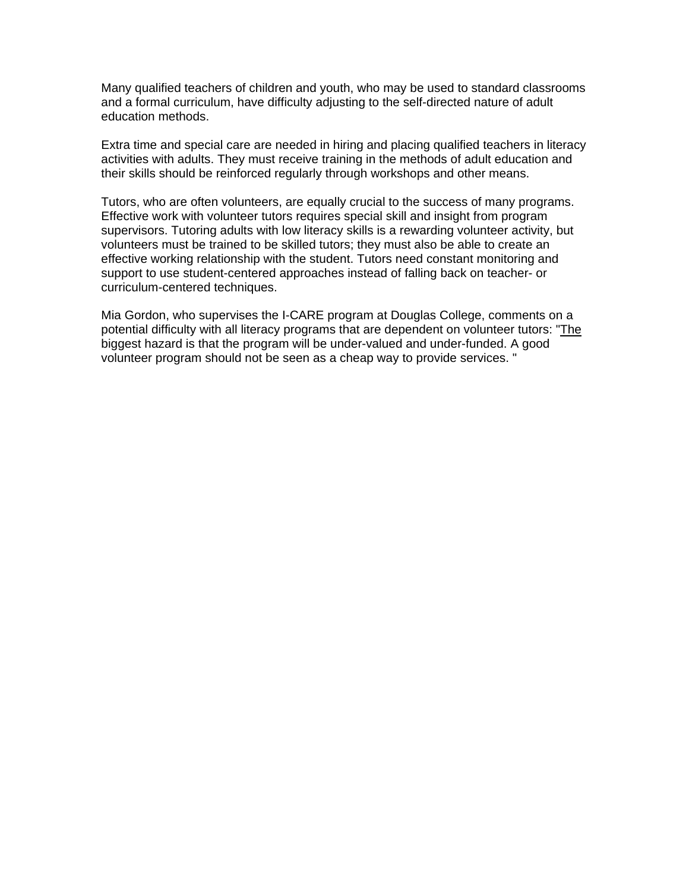Many qualified teachers of children and youth, who may be used to standard classrooms and a formal curriculum, have difficulty adjusting to the self-directed nature of adult education methods.

Extra time and special care are needed in hiring and placing qualified teachers in literacy activities with adults. They must receive training in the methods of adult education and their skills should be reinforced regularly through workshops and other means.

Tutors, who are often volunteers, are equally crucial to the success of many programs. Effective work with volunteer tutors requires special skill and insight from program supervisors. Tutoring adults with low literacy skills is a rewarding volunteer activity, but volunteers must be trained to be skilled tutors; they must also be able to create an effective working relationship with the student. Tutors need constant monitoring and support to use student-centered approaches instead of falling back on teacher- or curriculum-centered techniques.

Mia Gordon, who supervises the I-CARE program at Douglas College, comments on a potential difficulty with all literacy programs that are dependent on volunteer tutors: "The biggest hazard is that the program will be under-valued and under-funded. A good volunteer program should not be seen as a cheap way to provide services. "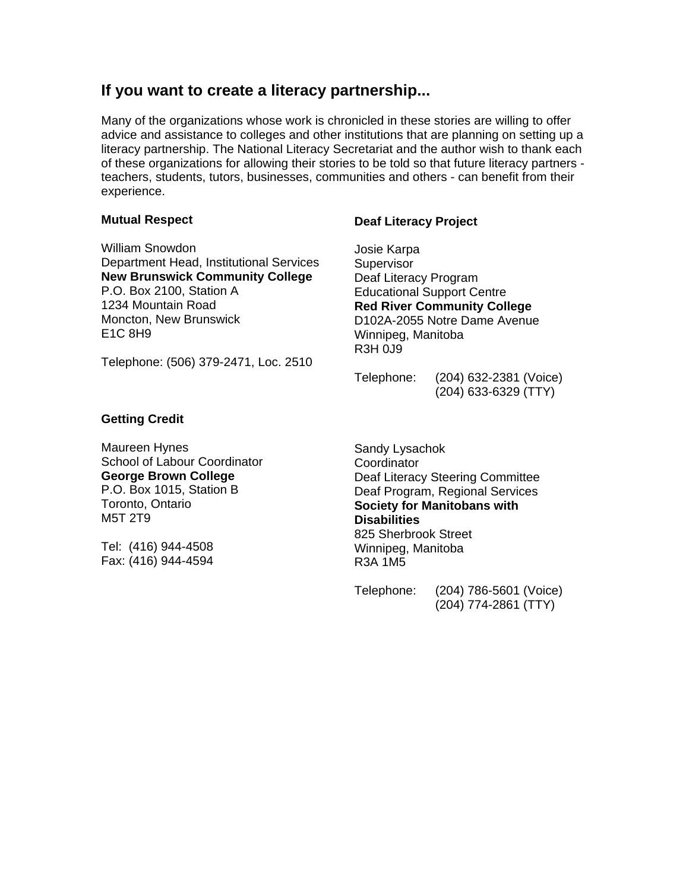# **If you want to create a literacy partnership...**

Many of the organizations whose work is chronicled in these stories are willing to offer advice and assistance to colleges and other institutions that are planning on setting up a literacy partnership. The National Literacy Secretariat and the author wish to thank each of these organizations for allowing their stories to be told so that future literacy partners teachers, students, tutors, businesses, communities and others - can benefit from their experience.

#### **Mutual Respect**

William Snowdon Department Head, Institutional Services **New Brunswick Community College** P.O. Box 2100, Station A 1234 Mountain Road Moncton, New Brunswick E1C 8H9

## **Deaf Literacy Project**

Josie Karpa **Supervisor** Deaf Literacy Program Educational Support Centre **Red River Community College**  D102A-2055 Notre Dame Avenue Winnipeg, Manitoba R3H 0J9

Telephone: (506) 379-2471, Loc. 2510

Telephone: (204) 632-2381 (Voice) (204) 633-6329 (TTY)

#### **Getting Credit**

Maureen Hynes School of Labour Coordinator **George Brown College**  P.O. Box 1015, Station B Toronto, Ontario M5T 2T9

Tel: (416) 944-4508 Fax: (416) 944-4594

Sandy Lysachok **Coordinator** Deaf Literacy Steering Committee Deaf Program, Regional Services **Society for Manitobans with Disabilities** 825 Sherbrook Street Winnipeg, Manitoba R3A 1M5

Telephone: (204) 786-5601 (Voice) (204) 774-2861 (TTY)